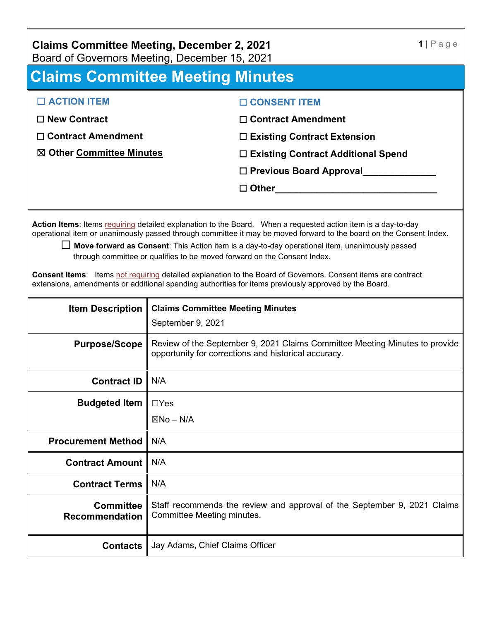| <b>Claims Committee Meeting, December 2, 2021</b> |  |  |
|---------------------------------------------------|--|--|
| Board of Governors Meeting, December 15, 2021     |  |  |

# **Claims Committee Meeting Minutes**

| $\Box$ ACTION ITEM                  | □ CONSENT ITEM                            |
|-------------------------------------|-------------------------------------------|
| $\Box$ New Contract                 | $\Box$ Contract Amendment                 |
| $\Box$ Contract Amendment           | $\Box$ Existing Contract Extension        |
| $\boxtimes$ Other Committee Minutes | $\Box$ Existing Contract Additional Spend |
|                                     | $\Box$ Previous Board Approval            |
|                                     | $\square$ Other                           |
|                                     |                                           |

**Action Items**: Items requiring detailed explanation to the Board. When a requested action item is a day-to-day operational item or unanimously passed through committee it may be moved forward to the board on the Consent Index.

☐ **Move forward as Consent**: This Action item is a day-to-day operational item, unanimously passed through committee or qualifies to be moved forward on the Consent Index.

**Consent Items**: Items not requiring detailed explanation to the Board of Governors. Consent items are contract extensions, amendments or additional spending authorities for items previously approved by the Board.

| <b>Item Description</b>                   | <b>Claims Committee Meeting Minutes</b>                                                                                             |
|-------------------------------------------|-------------------------------------------------------------------------------------------------------------------------------------|
|                                           | September 9, 2021                                                                                                                   |
| <b>Purpose/Scope</b>                      | Review of the September 9, 2021 Claims Committee Meeting Minutes to provide<br>opportunity for corrections and historical accuracy. |
| <b>Contract ID</b>                        | N/A                                                                                                                                 |
| <b>Budgeted Item</b>                      | $\Box$ Yes                                                                                                                          |
|                                           | $\boxtimes$ No – N/A                                                                                                                |
| <b>Procurement Method</b>                 | N/A                                                                                                                                 |
| <b>Contract Amount</b>                    | N/A                                                                                                                                 |
| <b>Contract Terms</b>                     | N/A                                                                                                                                 |
| <b>Committee</b><br><b>Recommendation</b> | Staff recommends the review and approval of the September 9, 2021 Claims<br>Committee Meeting minutes.                              |
| <b>Contacts</b>                           | Jay Adams, Chief Claims Officer                                                                                                     |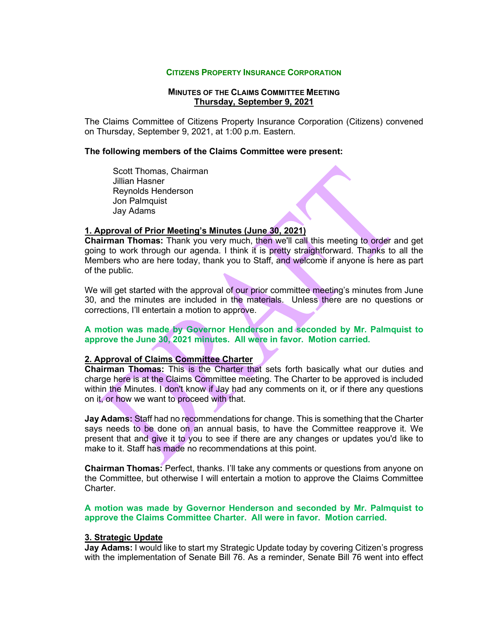#### **CITIZENS PROPERTY INSURANCE CORPORATION**

# **MINUTES OF THE CLAIMS COMMITTEE MEETING Thursday, September 9, 2021**

The Claims Committee of Citizens Property Insurance Corporation (Citizens) convened on Thursday, September 9, 2021, at 1:00 p.m. Eastern.

## **The following members of the Claims Committee were present:**

Scott Thomas, Chairman Jillian Hasner Reynolds Henderson Jon Palmquist Jay Adams

## **1. Approval of Prior Meeting's Minutes (June 30, 2021)**

**Chairman Thomas:** Thank you very much, then we'll call this meeting to order and get going to work through our agenda. I think it is pretty straightforward. Thanks to all the Members who are here today, thank you to Staff, and welcome if anyone is here as part of the public.

We will get started with the approval of our prior committee meeting's minutes from June 30, and the minutes are included in the materials. Unless there are no questions or corrections, I'll entertain a motion to approve.

# **A motion was made by Governor Henderson and seconded by Mr. Palmquist to approve the June 30, 2021 minutes. All were in favor. Motion carried.**

#### **2. Approval of Claims Committee Charter**

**Chairman Thomas:** This is the Charter that sets forth basically what our duties and charge here is at the Claims Committee meeting. The Charter to be approved is included within the Minutes. I don't know if Jay had any comments on it, or if there any questions on it, or how we want to proceed with that.

**Jay Adams:** Staff had no recommendations for change. This is something that the Charter says needs to be done on an annual basis, to have the Committee reapprove it. We present that and give it to you to see if there are any changes or updates you'd like to make to it. Staff has made no recommendations at this point.

**Chairman Thomas:** Perfect, thanks. I'll take any comments or questions from anyone on the Committee, but otherwise I will entertain a motion to approve the Claims Committee Charter.

**A motion was made by Governor Henderson and seconded by Mr. Palmquist to approve the Claims Committee Charter. All were in favor. Motion carried.** 

## **3. Strategic Update**

**Jay Adams:** I would like to start my Strategic Update today by covering Citizen's progress with the implementation of Senate Bill 76. As a reminder, Senate Bill 76 went into effect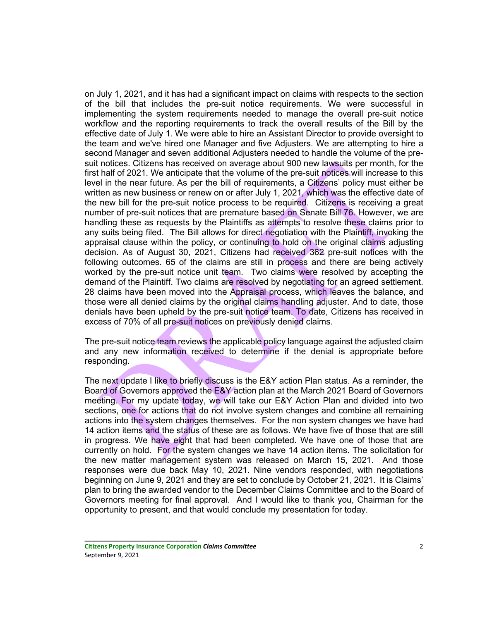on July 1, 2021, and it has had a significant impact on claims with respects to the section of the bill that includes the pre-suit notice requirements. We were successful in implementing the system requirements needed to manage the overall pre-suit notice workflow and the reporting requirements to track the overall results of the Bill by the effective date of July 1. We were able to hire an Assistant Director to provide oversight to the team and we've hired one Manager and five Adjusters. We are attempting to hire a second Manager and seven additional Adjusters needed to handle the volume of the presuit notices. Citizens has received on average about 900 new lawsuits per month, for the first half of 2021. We anticipate that the volume of the pre-suit notices will increase to this level in the near future. As per the bill of requirements, a Citizens' policy must either be written as new business or renew on or after July 1, 2021, which was the effective date of the new bill for the pre-suit notice process to be required. Citizens is receiving a great number of pre-suit notices that are premature based on Senate Bill 76. However, we are handling these as requests by the Plaintiffs as attempts to resolve these claims prior to any suits being filed. The Bill allows for direct negotiation with the Plaintiff, invoking the appraisal clause within the policy, or continuing to hold on the original claims adjusting decision. As of August 30, 2021, Citizens had received 362 pre-suit notices with the following outcomes. 65 of the claims are still in process and there are being actively worked by the pre-suit notice unit team. Two claims were resolved by accepting the demand of the Plaintiff. Two claims are resolved by negotiating for an agreed settlement. 28 claims have been moved into the Appraisal process, which leaves the balance, and those were all denied claims by the original claims handling adjuster. And to date, those denials have been upheld by the pre-suit notice team. To date, Citizens has received in excess of 70% of all pre-suit notices on previously denied claims.

The pre-suit notice team reviews the applicable policy language against the adjusted claim and any new information received to determine if the denial is appropriate before responding.

The next update I like to briefly discuss is the E&Y action Plan status. As a reminder, the Board of Governors approved the E&Y action plan at the March 2021 Board of Governors meeting. For my update today, we will take our E&Y Action Plan and divided into two sections, one for actions that do not involve system changes and combine all remaining actions into the system changes themselves. For the non system changes we have had 14 action items and the status of these are as follows. We have five of those that are still in progress. We have eight that had been completed. We have one of those that are currently on hold. For the system changes we have 14 action items. The solicitation for the new matter management system was released on March 15, 2021. And those responses were due back May 10, 2021. Nine vendors responded, with negotiations beginning on June 9, 2021 and they are set to conclude by October 21, 2021. It is Claims' plan to bring the awarded vendor to the December Claims Committee and to the Board of Governors meeting for final approval. And I would like to thank you, Chairman for the opportunity to present, and that would conclude my presentation for today.

**Citizens Property Insurance Corporation** *Claims Committee* 2 September 9, 2021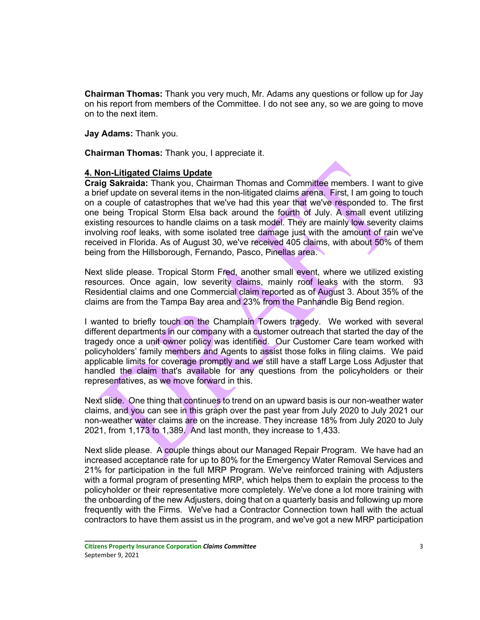**Chairman Thomas:** Thank you very much, Mr. Adams any questions or follow up for Jay on his report from members of the Committee. I do not see any, so we are going to move on to the next item.

**Jay Adams:** Thank you.

**Chairman Thomas:** Thank you, I appreciate it.

## **4. Non-Litigated Claims Update**

**Craig Sakraida:** Thank you, Chairman Thomas and Committee members. I want to give a brief update on several items in the non-litigated claims arena. First, I am going to touch on a couple of catastrophes that we've had this year that we've responded to. The first one being Tropical Storm Elsa back around the fourth of July. A small event utilizing existing resources to handle claims on a task model. They are mainly low severity claims involving roof leaks, with some isolated tree damage just with the amount of rain we've received in Florida. As of August 30, we've received 405 claims, with about 50% of them being from the Hillsborough, Fernando, Pasco, Pinellas area.

Next slide please. Tropical Storm Fred, another small event, where we utilized existing resources. Once again, low severity claims, mainly roof leaks with the storm. 93 Residential claims and one Commercial claim reported as of August 3. About 35% of the claims are from the Tampa Bay area and 23% from the Panhandle Big Bend region.

I wanted to briefly touch on the Champlain Towers tragedy. We worked with several different departments in our company with a customer outreach that started the day of the tragedy once a unit owner policy was identified. Our Customer Care team worked with policyholders' family members and Agents to assist those folks in filing claims. We paid applicable limits for coverage promptly and we still have a staff Large Loss Adjuster that handled the claim that's available for any questions from the policyholders or their representatives, as we move forward in this.

Next slide. One thing that continues to trend on an upward basis is our non-weather water claims, and you can see in this graph over the past year from July 2020 to July 2021 our non-weather water claims are on the increase. They increase 18% from July 2020 to July 2021, from 1,173 to 1,389. And last month, they increase to 1,433.

Next slide please. A couple things about our Managed Repair Program. We have had an increased acceptance rate for up to 80% for the Emergency Water Removal Services and 21% for participation in the full MRP Program. We've reinforced training with Adjusters with a formal program of presenting MRP, which helps them to explain the process to the policyholder or their representative more completely. We've done a lot more training with the onboarding of the new Adjusters, doing that on a quarterly basis and following up more frequently with the Firms. We've had a Contractor Connection town hall with the actual contractors to have them assist us in the program, and we've got a new MRP participation

**Citizens Property Insurance Corporation** *Claims Committee* 3 September 9, 2021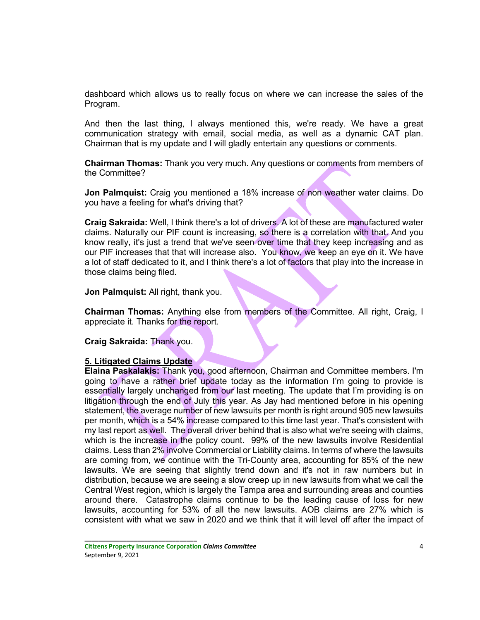dashboard which allows us to really focus on where we can increase the sales of the Program.

And then the last thing, I always mentioned this, we're ready. We have a great communication strategy with email, social media, as well as a dynamic CAT plan. Chairman that is my update and I will gladly entertain any questions or comments.

**Chairman Thomas:** Thank you very much. Any questions or comments from members of the Committee?

**Jon Palmquist:** Craig you mentioned a 18% increase of non weather water claims. Do you have a feeling for what's driving that?

**Craig Sakraida:** Well, I think there's a lot of drivers. A lot of these are manufactured water claims. Naturally our PIF count is increasing, so there is a correlation with that. And you know really, it's just a trend that we've seen over time that they keep increasing and as our PIF increases that that will increase also. You know, we keep an eye on it. We have a lot of staff dedicated to it, and I think there's a lot of factors that play into the increase in those claims being filed.

**Jon Palmquist:** All right, thank you.

**Chairman Thomas:** Anything else from members of the Committee. All right, Craig, I appreciate it. Thanks for the report.

**Craig Sakraida:** Thank you.

# **5. Litigated Claims Update**

**Elaina Paskalakis:** Thank you, good afternoon, Chairman and Committee members. I'm going to have a rather brief update today as the information I'm going to provide is essentially largely unchanged from our last meeting. The update that I'm providing is on litigation through the end of July this year. As Jay had mentioned before in his opening statement, the average number of new lawsuits per month is right around 905 new lawsuits per month, which is a 54% increase compared to this time last year. That's consistent with my last report as well. The overall driver behind that is also what we're seeing with claims, which is the increase in the policy count. 99% of the new lawsuits involve Residential claims. Less than 2% involve Commercial or Liability claims. In terms of where the lawsuits are coming from, we continue with the Tri-County area, accounting for 85% of the new lawsuits. We are seeing that slightly trend down and it's not in raw numbers but in distribution, because we are seeing a slow creep up in new lawsuits from what we call the Central West region, which is largely the Tampa area and surrounding areas and counties around there. Catastrophe claims continue to be the leading cause of loss for new lawsuits, accounting for 53% of all the new lawsuits. AOB claims are 27% which is consistent with what we saw in 2020 and we think that it will level off after the impact of

**Citizens Property Insurance Corporation** *Claims Committee* 4 September 9, 2021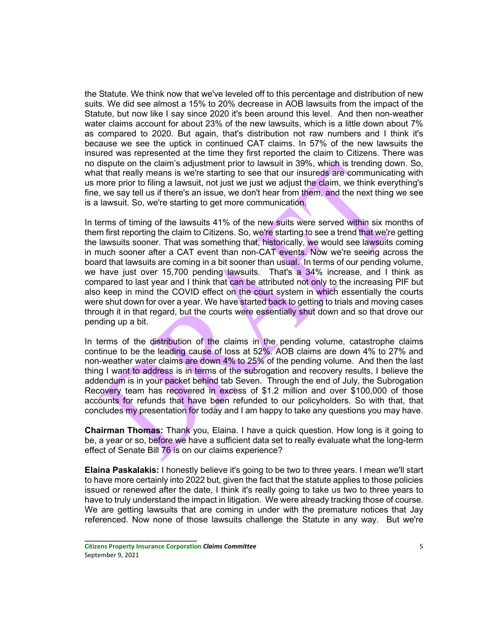the Statute. We think now that we've leveled off to this percentage and distribution of new suits. We did see almost a 15% to 20% decrease in AOB lawsuits from the impact of the Statute, but now like I say since 2020 it's been around this level. And then non-weather water claims account for about 23% of the new lawsuits, which is a little down about 7% as compared to 2020. But again, that's distribution not raw numbers and I think it's because we see the uptick in continued CAT claims. In 57% of the new lawsuits the insured was represented at the time they first reported the claim to Citizens. There was no dispute on the claim's adjustment prior to lawsuit in 39%, which is trending down. So, what that really means is we're starting to see that our insureds are communicating with us more prior to filing a lawsuit, not just we just we adjust the claim, we think everything's fine, we say tell us if there's an issue, we don't hear from them, and the next thing we see is a lawsuit. So, we're starting to get more communication.

In terms of timing of the lawsuits 41% of the new suits were served within six months of them first reporting the claim to Citizens. So, we're starting to see a trend that we're getting the lawsuits sooner. That was something that, historically, we would see lawsuits coming in much sooner after a CAT event than non-CAT events. Now we're seeing across the board that lawsuits are coming in a bit sooner than usual. In terms of our pending volume, we have just over 15,700 pending lawsuits. That's a 34% increase, and I think as compared to last year and I think that can be attributed not only to the increasing PIF but also keep in mind the COVID effect on the court system in which essentially the courts were shut down for over a year. We have started back to getting to trials and moving cases through it in that regard, but the courts were essentially shut down and so that drove our pending up a bit.

In terms of the distribution of the claims in the pending volume, catastrophe claims continue to be the leading cause of loss at 52%. AOB claims are down 4% to 27% and non-weather water claims are down 4% to 25% of the pending volume. And then the last thing I want to address is in terms of the subrogation and recovery results, I believe the addendum is in your packet behind tab Seven. Through the end of July, the Subrogation Recovery team has recovered in excess of \$1.2 million and over \$100,000 of those accounts for refunds that have been refunded to our policyholders. So with that, that concludes my presentation for today and I am happy to take any questions you may have.

**Chairman Thomas:** Thank you, Elaina. I have a quick question. How long is it going to be, a year or so, before we have a sufficient data set to really evaluate what the long-term effect of Senate Bill 76 is on our claims experience?

**Elaina Paskalakis:** I honestly believe it's going to be two to three years. I mean we'll start to have more certainly into 2022 but, given the fact that the statute applies to those policies issued or renewed after the date, I think it's really going to take us two to three years to have to truly understand the impact in litigation. We were already tracking those of course. We are getting lawsuits that are coming in under with the premature notices that Jay referenced. Now none of those lawsuits challenge the Statute in any way. But we're

**Citizens Property Insurance Corporation** *Claims Committee* 5 September 9, 2021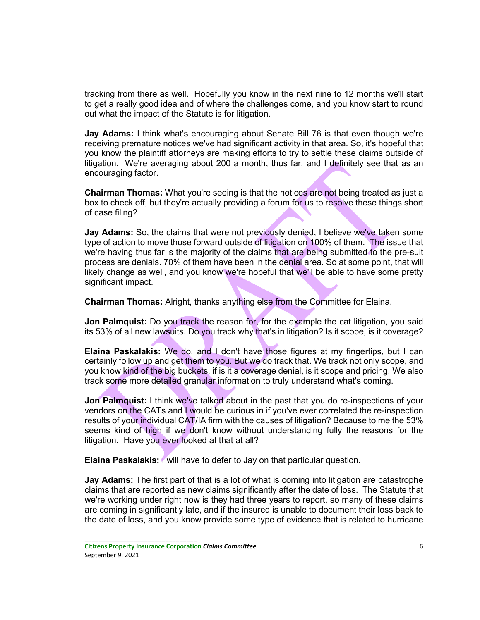tracking from there as well. Hopefully you know in the next nine to 12 months we'll start to get a really good idea and of where the challenges come, and you know start to round out what the impact of the Statute is for litigation.

**Jay Adams:** I think what's encouraging about Senate Bill 76 is that even though we're receiving premature notices we've had significant activity in that area. So, it's hopeful that you know the plaintiff attorneys are making efforts to try to settle these claims outside of litigation. We're averaging about 200 a month, thus far, and I definitely see that as an encouraging factor.

**Chairman Thomas:** What you're seeing is that the notices are not being treated as just a box to check off, but they're actually providing a forum for us to resolve these things short of case filing?

Jay Adams: So, the claims that were not previously denied, I believe we've taken some type of action to move those forward outside of litigation on 100% of them. The issue that we're having thus far is the majority of the claims that are being submitted to the pre-suit process are denials. 70% of them have been in the denial area. So at some point, that will likely change as well, and you know we're hopeful that we'll be able to have some pretty significant impact.

**Chairman Thomas:** Alright, thanks anything else from the Committee for Elaina.

**Jon Palmquist:** Do you track the reason for, for the example the cat litigation, you said its 53% of all new lawsuits. Do you track why that's in litigation? Is it scope, is it coverage?

**Elaina Paskalakis:** We do, and I don't have those figures at my fingertips, but I can certainly follow up and get them to you. But we do track that. We track not only scope, and you know kind of the big buckets, if is it a coverage denial, is it scope and pricing. We also track some more detailed granular information to truly understand what's coming.

**Jon Palmquist:** I think we've talked about in the past that you do re-inspections of your vendors on the CATs and I would be curious in if you've ever correlated the re-inspection results of your individual CAT/IA firm with the causes of litigation? Because to me the 53% seems kind of high if we don't know without understanding fully the reasons for the litigation. Have you ever looked at that at all?

**Elaina Paskalakis:** I will have to defer to Jay on that particular question.

**Jay Adams:** The first part of that is a lot of what is coming into litigation are catastrophe claims that are reported as new claims significantly after the date of loss. The Statute that we're working under right now is they had three years to report, so many of these claims are coming in significantly late, and if the insured is unable to document their loss back to the date of loss, and you know provide some type of evidence that is related to hurricane

**Citizens Property Insurance Corporation** *Claims Committee* 6 September 9, 2021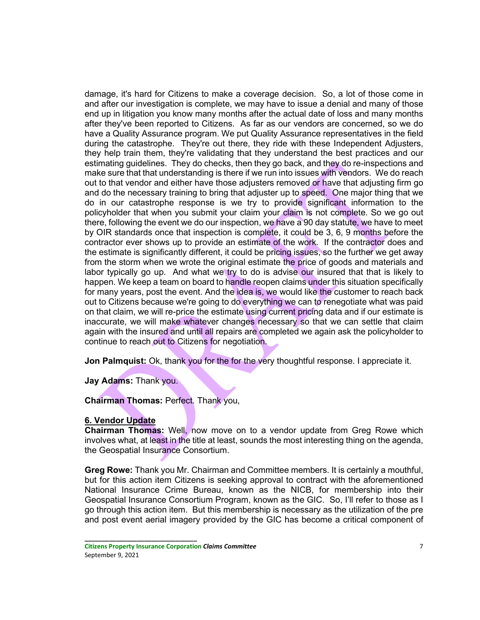damage, it's hard for Citizens to make a coverage decision. So, a lot of those come in and after our investigation is complete, we may have to issue a denial and many of those end up in litigation you know many months after the actual date of loss and many months after they've been reported to Citizens. As far as our vendors are concerned, so we do have a Quality Assurance program. We put Quality Assurance representatives in the field during the catastrophe. They're out there, they ride with these Independent Adjusters, they help train them, they're validating that they understand the best practices and our estimating guidelines. They do checks, then they go back, and they do re-inspections and make sure that that understanding is there if we run into issues with vendors. We do reach out to that vendor and either have those adjusters removed or have that adjusting firm go and do the necessary training to bring that adjuster up to speed. One major thing that we do in our catastrophe response is we try to provide significant information to the policyholder that when you submit your claim your claim is not complete. So we go out there, following the event we do our inspection, we have a 90 day statute, we have to meet by OIR standards once that inspection is complete, it could be 3, 6, 9 months before the contractor ever shows up to provide an estimate of the work. If the contractor does and the estimate is significantly different, it could be pricing issues, so the further we get away from the storm when we wrote the original estimate the price of goods and materials and labor typically go up. And what we try to do is advise our insured that that is likely to happen. We keep a team on board to handle reopen claims under this situation specifically for many years, post the event. And the idea is, we would like the customer to reach back out to Citizens because we're going to do everything we can to renegotiate what was paid on that claim, we will re-price the estimate using current pricing data and if our estimate is inaccurate, we will make whatever changes necessary so that we can settle that claim again with the insured and until all repairs are completed we again ask the policyholder to continue to reach out to Citizens for negotiation.

**Jon Palmquist:** Ok, thank you for the for the very thoughtful response. I appreciate it.

**Jay Adams:** Thank you.

**Chairman Thomas:** Perfect. Thank you,

# **6. Vendor Update**

**Chairman Thomas:** Well, now move on to a vendor update from Greg Rowe which involves what, at least in the title at least, sounds the most interesting thing on the agenda, the Geospatial Insurance Consortium.

**Greg Rowe:** Thank you Mr. Chairman and Committee members. It is certainly a mouthful, but for this action item Citizens is seeking approval to contract with the aforementioned National Insurance Crime Bureau, known as the NICB, for membership into their Geospatial Insurance Consortium Program, known as the GIC. So, I'll refer to those as I go through this action item. But this membership is necessary as the utilization of the pre and post event aerial imagery provided by the GIC has become a critical component of

**Citizens Property Insurance Corporation** *Claims Committee* 7 September 9, 2021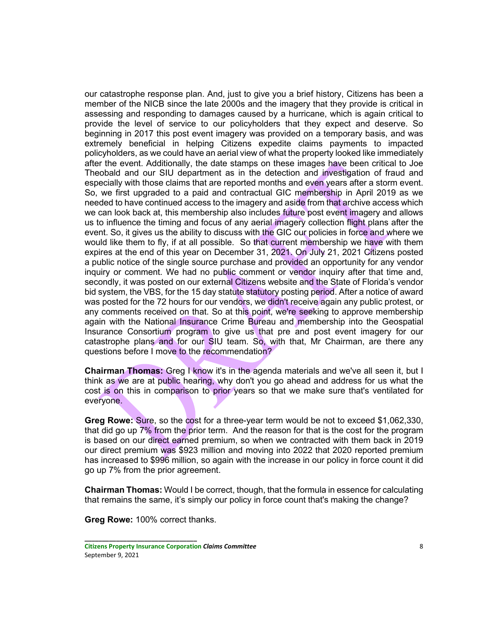our catastrophe response plan. And, just to give you a brief history, Citizens has been a member of the NICB since the late 2000s and the imagery that they provide is critical in assessing and responding to damages caused by a hurricane, which is again critical to provide the level of service to our policyholders that they expect and deserve. So beginning in 2017 this post event imagery was provided on a temporary basis, and was extremely beneficial in helping Citizens expedite claims payments to impacted policyholders, as we could have an aerial view of what the property looked like immediately after the event. Additionally, the date stamps on these images have been critical to Joe Theobald and our SIU department as in the detection and investigation of fraud and especially with those claims that are reported months and even years after a storm event. So, we first upgraded to a paid and contractual GIC membership in April 2019 as we needed to have continued access to the imagery and aside from that archive access which we can look back at, this membership also includes future post event imagery and allows us to influence the timing and focus of any aerial imagery collection flight plans after the event. So, it gives us the ability to discuss with the GIC our policies in force and where we would like them to fly, if at all possible. So that current membership we have with them expires at the end of this year on December 31, 2021. On July 21, 2021 Citizens posted a public notice of the single source purchase and provided an opportunity for any vendor inquiry or comment. We had no public comment or vendor inquiry after that time and, secondly, it was posted on our external Citizens website and the State of Florida's vendor bid system, the VBS, for the 15 day statute statutory posting period. After a notice of award was posted for the 72 hours for our vendors, we didn't receive again any public protest, or any comments received on that. So at this point, we're seeking to approve membership again with the National Insurance Crime Bureau and membership into the Geospatial Insurance Consortium program to give us that pre and post event imagery for our catastrophe plans and for our SIU team. So, with that, Mr Chairman, are there any questions before I move to the recommendation?

**Chairman Thomas:** Greg I know it's in the agenda materials and we've all seen it, but I think as we are at public hearing, why don't you go ahead and address for us what the cost is on this in comparison to prior years so that we make sure that's ventilated for everyone.

**Greg Rowe:** Sure, so the cost for a three-year term would be not to exceed \$1,062,330, that did go up 7% from the prior term. And the reason for that is the cost for the program is based on our direct earned premium, so when we contracted with them back in 2019 our direct premium was \$923 million and moving into 2022 that 2020 reported premium has increased to \$996 million, so again with the increase in our policy in force count it did go up 7% from the prior agreement.

**Chairman Thomas:** Would I be correct, though, that the formula in essence for calculating that remains the same, it's simply our policy in force count that's making the change?

**Greg Rowe:** 100% correct thanks.

**Citizens Property Insurance Corporation** *Claims Committee* 8 September 9, 2021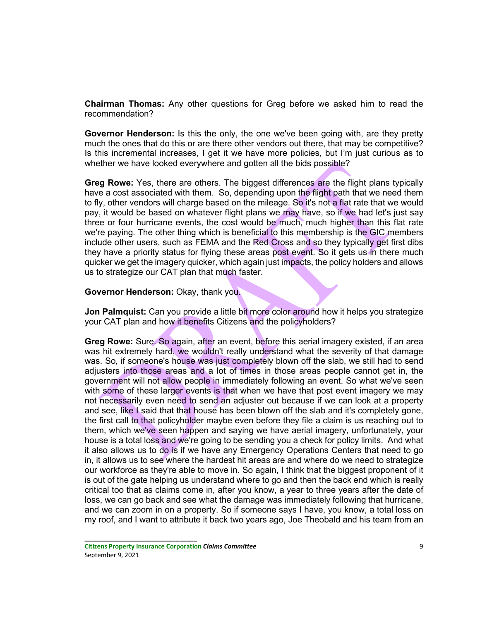**Chairman Thomas:** Any other questions for Greg before we asked him to read the recommendation?

**Governor Henderson:** Is this the only, the one we've been going with, are they pretty much the ones that do this or are there other vendors out there, that may be competitive? Is this incremental increases, I get it we have more policies, but I'm just curious as to whether we have looked everywhere and gotten all the bids possible?

**Greg Rowe:** Yes, there are others. The biggest differences are the flight plans typically have a cost associated with them. So, depending upon the flight path that we need them to fly, other vendors will charge based on the mileage. So it's not a flat rate that we would pay, it would be based on whatever flight plans we may have, so if we had let's just say three or four hurricane events, the cost would be much, much higher than this flat rate we're paying. The other thing which is beneficial to this membership is the GIC members include other users, such as FEMA and the Red Cross and so they typically get first dibs they have a priority status for flying these areas post event. So it gets us in there much quicker we get the imagery quicker, which again just impacts, the policy holders and allows us to strategize our CAT plan that much faster.

#### **Governor Henderson:** Okay, thank you.

**Jon Palmquist:** Can you provide a little bit more color around how it helps you strategize your CAT plan and how it benefits Citizens and the policyholders?

**Greg Rowe:** Sure. So again, after an event, before this aerial imagery existed, if an area was hit extremely hard, we wouldn't really understand what the severity of that damage was. So, if someone's house was just completely blown off the slab, we still had to send adjusters into those areas and a lot of times in those areas people cannot get in, the government will not allow people in immediately following an event. So what we've seen with some of these larger events is that when we have that post event imagery we may not necessarily even need to send an adjuster out because if we can look at a property and see, like I said that that house has been blown off the slab and it's completely gone, the first call to that policyholder maybe even before they file a claim is us reaching out to them, which we've seen happen and saying we have aerial imagery, unfortunately, your house is a total loss and we're going to be sending you a check for policy limits. And what it also allows us to do is if we have any Emergency Operations Centers that need to go in, it allows us to see where the hardest hit areas are and where do we need to strategize our workforce as they're able to move in. So again, I think that the biggest proponent of it is out of the gate helping us understand where to go and then the back end which is really critical too that as claims come in, after you know, a year to three years after the date of loss, we can go back and see what the damage was immediately following that hurricane, and we can zoom in on a property. So if someone says I have, you know, a total loss on my roof, and I want to attribute it back two years ago, Joe Theobald and his team from an

**Citizens Property Insurance Corporation** *Claims Committee* 9 September 9, 2021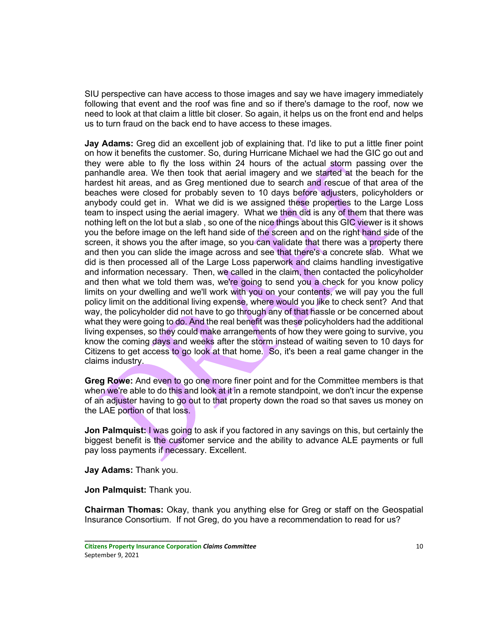SIU perspective can have access to those images and say we have imagery immediately following that event and the roof was fine and so if there's damage to the roof, now we need to look at that claim a little bit closer. So again, it helps us on the front end and helps us to turn fraud on the back end to have access to these images.

**Jay Adams:** Greg did an excellent job of explaining that. I'd like to put a little finer point on how it benefits the customer. So, during Hurricane Michael we had the GIC go out and they were able to fly the loss within 24 hours of the actual storm passing over the panhandle area. We then took that aerial imagery and we started at the beach for the hardest hit areas, and as Greg mentioned due to search and rescue of that area of the beaches were closed for probably seven to 10 days before adjusters, policyholders or anybody could get in. What we did is we assigned these properties to the Large Loss team to inspect using the aerial imagery. What we then did is any of them that there was nothing left on the lot but a slab , so one of the nice things about this GIC viewer is it shows you the before image on the left hand side of the screen and on the right hand side of the screen, it shows you the after image, so you can validate that there was a property there and then you can slide the image across and see that there's a concrete slab. What we did is then processed all of the Large Loss paperwork and claims handling investigative and information necessary. Then, we called in the claim, then contacted the policyholder and then what we told them was, we're going to send you a check for you know policy limits on your dwelling and we'll work with you on your contents, we will pay you the full policy limit on the additional living expense, where would you like to check sent? And that way, the policyholder did not have to go through any of that hassle or be concerned about what they were going to do. And the real benefit was these policyholders had the additional living expenses, so they could make arrangements of how they were going to survive, you know the coming days and weeks after the storm instead of waiting seven to 10 days for Citizens to get access to go look at that home. So, it's been a real game changer in the claims industry.

**Greg Rowe:** And even to go one more finer point and for the Committee members is that when we're able to do this and look at it in a remote standpoint, we don't incur the expense of an adjuster having to go out to that property down the road so that saves us money on the LAE portion of that loss.

**Jon Palmquist:** I was going to ask if you factored in any savings on this, but certainly the biggest benefit is the customer service and the ability to advance ALE payments or full pay loss payments if necessary. Excellent.

**Jay Adams:** Thank you.

**Jon Palmquist:** Thank you.

**\_\_\_\_\_\_\_\_\_\_\_\_\_\_\_\_\_\_\_\_\_\_\_\_\_\_\_\_\_\_\_\_**

**Chairman Thomas:** Okay, thank you anything else for Greg or staff on the Geospatial Insurance Consortium. If not Greg, do you have a recommendation to read for us?

**Citizens Property Insurance Corporation** *Claims Committee* 10 September 9, 2021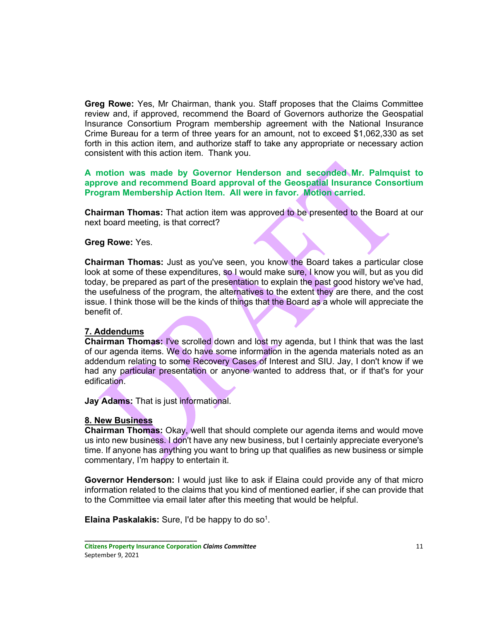**Greg Rowe:** Yes, Mr Chairman, thank you. Staff proposes that the Claims Committee review and, if approved, recommend the Board of Governors authorize the Geospatial Insurance Consortium Program membership agreement with the National Insurance Crime Bureau for a term of three years for an amount, not to exceed \$1,062,330 as set forth in this action item, and authorize staff to take any appropriate or necessary action consistent with this action item. Thank you.

**A motion was made by Governor Henderson and seconded Mr. Palmquist to approve and recommend Board approval of the Geospatial Insurance Consortium Program Membership Action Item. All were in favor. Motion carried.**

**Chairman Thomas:** That action item was approved to be presented to the Board at our next board meeting, is that correct?

# **Greg Rowe:** Yes.

**Chairman Thomas:** Just as you've seen, you know the Board takes a particular close look at some of these expenditures, so I would make sure, I know you will, but as you did today, be prepared as part of the presentation to explain the past good history we've had, the usefulness of the program, the alternatives to the extent they are there, and the cost issue. I think those will be the kinds of things that the Board as a whole will appreciate the benefit of.

## **7. Addendums**

**Chairman Thomas:** I've scrolled down and lost my agenda, but I think that was the last of our agenda items. We do have some information in the agenda materials noted as an addendum relating to some Recovery Cases of Interest and SIU. Jay, I don't know if we had any particular presentation or anyone wanted to address that, or if that's for your edification.

**Jay Adams:** That is just informational.

#### **8. New Business**

**Chairman Thomas:** Okay, well that should complete our agenda items and would move us into new business. I don't have any new business, but I certainly appreciate everyone's time. If anyone has anything you want to bring up that qualifies as new business or simple commentary, I'm happy to entertain it.

**Governor Henderson:** I would just like to ask if Elaina could provide any of that micro information related to the claims that you kind of mentioned earlier, if she can provide that to the Committee via email later after this meeting that would be helpful.

**Elaina Paskalakis:** Sure, I'd be happy to do so<sup>1</sup>.

**Citizens Property Insurance Corporation** *Claims Committee* 11 September 9, 2021